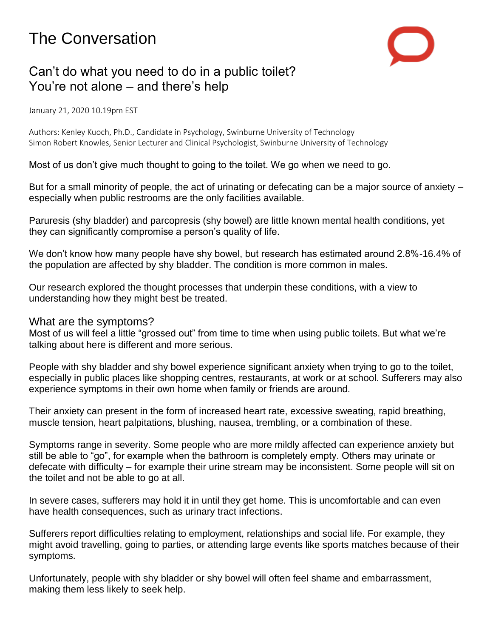# The Conversation



# Can't do what you need to do in a public toilet? You're not alone – and there's help

January 21, 2020 10.19pm EST

Authors: Kenley Kuoch, Ph.D., Candidate in Psychology, Swinburne University of Technology Simon Robert Knowles, Senior Lecturer and Clinical Psychologist, Swinburne University of Technology

Most of us don't give much thought to going to the toilet. We go when we need to go.

But for a small minority of people, the act of urinating or defecating can be a major source of anxiety – especially when public restrooms are the only facilities available.

Paruresis (shy bladder) and parcopresis (shy bowel) are little known mental health conditions, yet they can significantly compromise a person's quality of life.

We don't know how many people have shy bowel, but research has estimated around 2.8%-16.4% of the population are affected by shy bladder. The condition is more common in males.

Our research explored the thought processes that underpin these conditions, with a view to understanding how they might best be treated.

## What are the symptoms?

Most of us will feel a little "grossed out" from time to time when using public toilets. But what we're talking about here is different and more serious.

People with shy bladder and shy bowel experience significant anxiety when trying to go to the toilet, especially in public places like shopping centres, restaurants, at work or at school. Sufferers may also experience symptoms in their own home when family or friends are around.

Their anxiety can present in the form of increased heart rate, excessive sweating, rapid breathing, muscle tension, heart palpitations, blushing, nausea, trembling, or a combination of these.

Symptoms range in severity. Some people who are more mildly affected can experience anxiety but still be able to "go", for example when the bathroom is completely empty. Others may urinate or defecate with difficulty – for example their urine stream may be inconsistent. Some people will sit on the toilet and not be able to go at all.

In severe cases, sufferers may hold it in until they get home. This is uncomfortable and can even have health consequences, such as urinary tract infections.

Sufferers report difficulties relating to employment, relationships and social life. For example, they might avoid travelling, going to parties, or attending large events like sports matches because of their symptoms.

Unfortunately, people with shy bladder or shy bowel will often feel shame and embarrassment, making them less likely to seek help.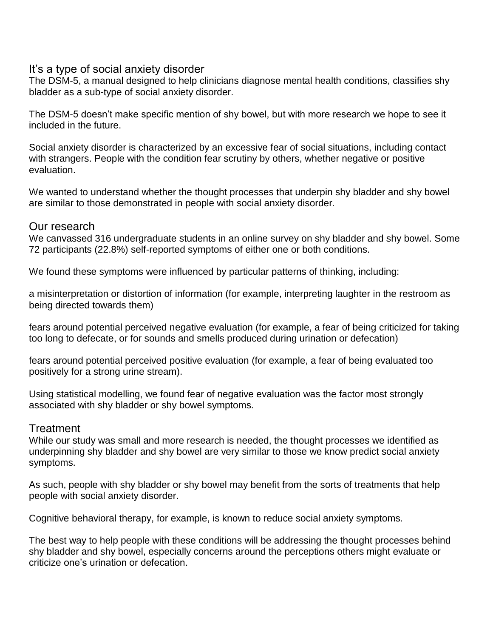# It's a type of social anxiety disorder

The DSM-5, a manual designed to help clinicians diagnose mental health conditions, classifies shy bladder as a sub-type of social anxiety disorder.

The DSM-5 doesn't make specific mention of shy bowel, but with more research we hope to see it included in the future.

Social anxiety disorder is characterized by an excessive fear of social situations, including contact with strangers. People with the condition fear scrutiny by others, whether negative or positive evaluation.

We wanted to understand whether the thought processes that underpin shy bladder and shy bowel are similar to those demonstrated in people with social anxiety disorder.

## Our research

We canvassed 316 undergraduate students in an online survey on shy bladder and shy bowel. Some 72 participants (22.8%) self-reported symptoms of either one or both conditions.

We found these symptoms were influenced by particular patterns of thinking, including:

a misinterpretation or distortion of information (for example, interpreting laughter in the restroom as being directed towards them)

fears around potential perceived negative evaluation (for example, a fear of being criticized for taking too long to defecate, or for sounds and smells produced during urination or defecation)

fears around potential perceived positive evaluation (for example, a fear of being evaluated too positively for a strong urine stream).

Using statistical modelling, we found fear of negative evaluation was the factor most strongly associated with shy bladder or shy bowel symptoms.

## **Treatment**

While our study was small and more research is needed, the thought processes we identified as underpinning shy bladder and shy bowel are very similar to those we know predict social anxiety symptoms.

As such, people with shy bladder or shy bowel may benefit from the sorts of treatments that help people with social anxiety disorder.

Cognitive behavioral therapy, for example, is known to reduce social anxiety symptoms.

The best way to help people with these conditions will be addressing the thought processes behind shy bladder and shy bowel, especially concerns around the perceptions others might evaluate or criticize one's urination or defecation.